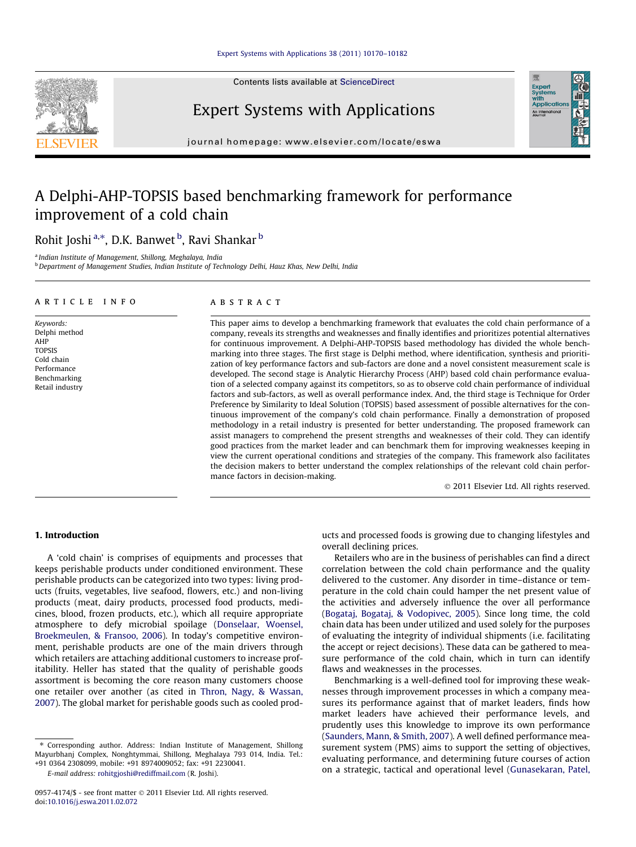Contents lists available at [ScienceDirect](http://www.sciencedirect.com/science/journal/09574174)





journal homepage: [www.elsevier.com/locate/eswa](http://www.elsevier.com/locate/eswa)

## A Delphi-AHP-TOPSIS based benchmarking framework for performance improvement of a cold chain

### Rohit Joshi <sup>a,\*</sup>, D.K. Banwet <sup>b</sup>, Ravi Shankar <sup>b</sup>

<sup>a</sup> Indian Institute of Management, Shillong, Meghalaya, India

<sup>b</sup> Department of Management Studies, Indian Institute of Technology Delhi, Hauz Khas, New Delhi, India

#### article info

Keywords: Delphi method AHP TOPSIS Cold chain Performance Benchmarking Retail industry

#### ABSTRACT

This paper aims to develop a benchmarking framework that evaluates the cold chain performance of a company, reveals its strengths and weaknesses and finally identifies and prioritizes potential alternatives for continuous improvement. A Delphi-AHP-TOPSIS based methodology has divided the whole benchmarking into three stages. The first stage is Delphi method, where identification, synthesis and prioritization of key performance factors and sub-factors are done and a novel consistent measurement scale is developed. The second stage is Analytic Hierarchy Process (AHP) based cold chain performance evaluation of a selected company against its competitors, so as to observe cold chain performance of individual factors and sub-factors, as well as overall performance index. And, the third stage is Technique for Order Preference by Similarity to Ideal Solution (TOPSIS) based assessment of possible alternatives for the continuous improvement of the company's cold chain performance. Finally a demonstration of proposed methodology in a retail industry is presented for better understanding. The proposed framework can assist managers to comprehend the present strengths and weaknesses of their cold. They can identify good practices from the market leader and can benchmark them for improving weaknesses keeping in view the current operational conditions and strategies of the company. This framework also facilitates the decision makers to better understand the complex relationships of the relevant cold chain performance factors in decision-making.

- 2011 Elsevier Ltd. All rights reserved.

Expert<br>Syster

#### 1. Introduction

A 'cold chain' is comprises of equipments and processes that keeps perishable products under conditioned environment. These perishable products can be categorized into two types: living products (fruits, vegetables, live seafood, flowers, etc.) and non-living products (meat, dairy products, processed food products, medicines, blood, frozen products, etc.), which all require appropriate atmosphere to defy microbial spoilage [\(Donselaar, Woensel,](#page--1-0) [Broekmeulen, & Fransoo, 2006](#page--1-0)). In today's competitive environment, perishable products are one of the main drivers through which retailers are attaching additional customers to increase profitability. Heller has stated that the quality of perishable goods assortment is becoming the core reason many customers choose one retailer over another (as cited in [Thron, Nagy, & Wassan,](#page--1-0) [2007\)](#page--1-0). The global market for perishable goods such as cooled prod-

⇑ Corresponding author. Address: Indian Institute of Management, Shillong Mayurbhanj Complex, Nonghtymmai, Shillong, Meghalaya 793 014, India. Tel.: +91 0364 2308099, mobile: +91 8974009052; fax: +91 2230041.

E-mail address: [rohitgjoshi@rediffmail.com](mailto:rohitgjoshi@rediffmail.com) (R. Joshi).

ucts and processed foods is growing due to changing lifestyles and overall declining prices.

Retailers who are in the business of perishables can find a direct correlation between the cold chain performance and the quality delivered to the customer. Any disorder in time–distance or temperature in the cold chain could hamper the net present value of the activities and adversely influence the over all performance ([Bogataj, Bogataj, & Vodopivec, 2005](#page--1-0)). Since long time, the cold chain data has been under utilized and used solely for the purposes of evaluating the integrity of individual shipments (i.e. facilitating the accept or reject decisions). These data can be gathered to measure performance of the cold chain, which in turn can identify flaws and weaknesses in the processes.

Benchmarking is a well-defined tool for improving these weaknesses through improvement processes in which a company measures its performance against that of market leaders, finds how market leaders have achieved their performance levels, and prudently uses this knowledge to improve its own performance ([Saunders, Mann, & Smith, 2007](#page--1-0)). A well defined performance measurement system (PMS) aims to support the setting of objectives, evaluating performance, and determining future courses of action on a strategic, tactical and operational level [\(Gunasekaran, Patel,](#page--1-0)

<sup>0957-4174/\$ -</sup> see front matter © 2011 Elsevier Ltd. All rights reserved. doi:[10.1016/j.eswa.2011.02.072](http://dx.doi.org/10.1016/j.eswa.2011.02.072)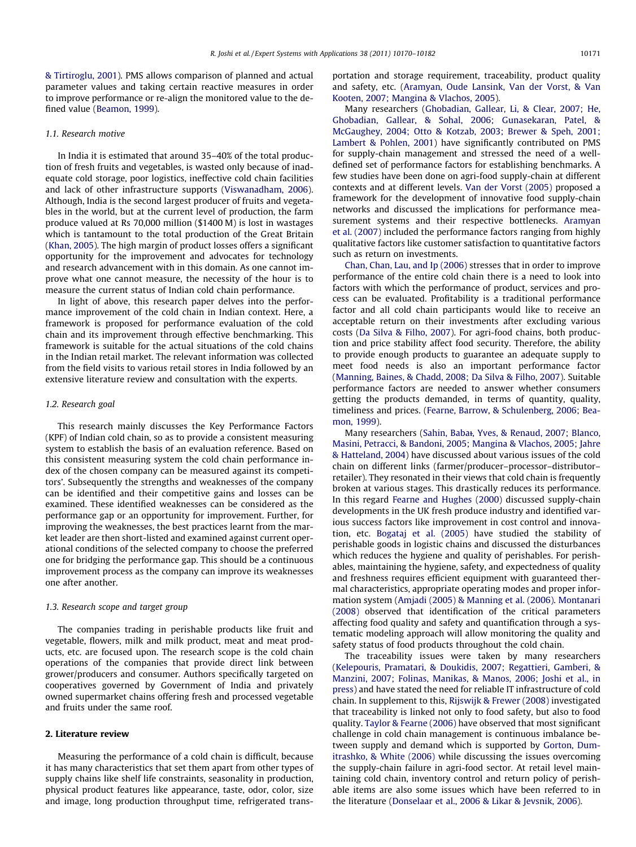[& Tirtiroglu, 2001\)](#page--1-0). PMS allows comparison of planned and actual parameter values and taking certain reactive measures in order to improve performance or re-align the monitored value to the defined value [\(Beamon, 1999\)](#page--1-0).

#### 1.1. Research motive

In India it is estimated that around 35–40% of the total production of fresh fruits and vegetables, is wasted only because of inadequate cold storage, poor logistics, ineffective cold chain facilities and lack of other infrastructure supports [\(Viswanadham, 2006\)](#page--1-0). Although, India is the second largest producer of fruits and vegetables in the world, but at the current level of production, the farm produce valued at Rs 70,000 million (\$1400 M) is lost in wastages which is tantamount to the total production of the Great Britain ([Khan, 2005\)](#page--1-0). The high margin of product losses offers a significant opportunity for the improvement and advocates for technology and research advancement with in this domain. As one cannot improve what one cannot measure, the necessity of the hour is to measure the current status of Indian cold chain performance.

In light of above, this research paper delves into the performance improvement of the cold chain in Indian context. Here, a framework is proposed for performance evaluation of the cold chain and its improvement through effective benchmarking. This framework is suitable for the actual situations of the cold chains in the Indian retail market. The relevant information was collected from the field visits to various retail stores in India followed by an extensive literature review and consultation with the experts.

#### 1.2. Research goal

This research mainly discusses the Key Performance Factors (KPF) of Indian cold chain, so as to provide a consistent measuring system to establish the basis of an evaluation reference. Based on this consistent measuring system the cold chain performance index of the chosen company can be measured against its competitors'. Subsequently the strengths and weaknesses of the company can be identified and their competitive gains and losses can be examined. These identified weaknesses can be considered as the performance gap or an opportunity for improvement. Further, for improving the weaknesses, the best practices learnt from the market leader are then short-listed and examined against current operational conditions of the selected company to choose the preferred one for bridging the performance gap. This should be a continuous improvement process as the company can improve its weaknesses one after another.

#### 1.3. Research scope and target group

The companies trading in perishable products like fruit and vegetable, flowers, milk and milk product, meat and meat products, etc. are focused upon. The research scope is the cold chain operations of the companies that provide direct link between grower/producers and consumer. Authors specifically targeted on cooperatives governed by Government of India and privately owned supermarket chains offering fresh and processed vegetable and fruits under the same roof.

#### 2. Literature review

Measuring the performance of a cold chain is difficult, because it has many characteristics that set them apart from other types of supply chains like shelf life constraints, seasonality in production, physical product features like appearance, taste, odor, color, size and image, long production throughput time, refrigerated transportation and storage requirement, traceability, product quality and safety, etc. [\(Aramyan, Oude Lansink, Van der Vorst, & Van](#page--1-0) [Kooten, 2007; Mangina & Vlachos, 2005\)](#page--1-0).

Many researchers [\(Ghobadian, Gallear, Li, & Clear, 2007; He,](#page--1-0) [Ghobadian, Gallear, & Sohal, 2006; Gunasekaran, Patel, &](#page--1-0) [McGaughey, 2004; Otto & Kotzab, 2003; Brewer & Speh, 2001;](#page--1-0) [Lambert & Pohlen, 2001](#page--1-0)) have significantly contributed on PMS for supply-chain management and stressed the need of a welldefined set of performance factors for establishing benchmarks. A few studies have been done on agri-food supply-chain at different contexts and at different levels. [Van der Vorst \(2005\)](#page--1-0) proposed a framework for the development of innovative food supply-chain networks and discussed the implications for performance measurement systems and their respective bottlenecks. [Aramyan](#page--1-0) [et al. \(2007\)](#page--1-0) included the performance factors ranging from highly qualitative factors like customer satisfaction to quantitative factors such as return on investments.

[Chan, Chan, Lau, and Ip \(2006\)](#page--1-0) stresses that in order to improve performance of the entire cold chain there is a need to look into factors with which the performance of product, services and process can be evaluated. Profitability is a traditional performance factor and all cold chain participants would like to receive an acceptable return on their investments after excluding various costs ([Da Silva & Filho, 2007](#page--1-0)). For agri-food chains, both production and price stability affect food security. Therefore, the ability to provide enough products to guarantee an adequate supply to meet food needs is also an important performance factor ([Manning, Baines, & Chadd, 2008; Da Silva & Filho, 2007\)](#page--1-0). Suitable performance factors are needed to answer whether consumers getting the products demanded, in terms of quantity, quality, timeliness and prices. [\(Fearne, Barrow, & Schulenberg, 2006; Bea](#page--1-0)[mon, 1999\)](#page--1-0).

Many researchers [\(Sahin, Baba](#page--1-0)i[, Yves, & Renaud, 2007; Blanco,](#page--1-0) [Masini, Petracci, & Bandoni, 2005; Mangina & Vlachos, 2005; Jahre](#page--1-0) [& Hatteland, 2004\)](#page--1-0) have discussed about various issues of the cold chain on different links (farmer/producer–processor–distributor– retailer). They resonated in their views that cold chain is frequently broken at various stages. This drastically reduces its performance. In this regard [Fearne and Hughes \(2000\)](#page--1-0) discussed supply-chain developments in the UK fresh produce industry and identified various success factors like improvement in cost control and innovation, etc. [Bogataj et al. \(2005\)](#page--1-0) have studied the stability of perishable goods in logistic chains and discussed the disturbances which reduces the hygiene and quality of perishables. For perishables, maintaining the hygiene, safety, and expectedness of quality and freshness requires efficient equipment with guaranteed thermal characteristics, appropriate operating modes and proper information system ([Amjadi \(2005\) & Manning et al. \(2006\).](#page--1-0) [Montanari](#page--1-0) [\(2008\)](#page--1-0) observed that identification of the critical parameters affecting food quality and safety and quantification through a systematic modeling approach will allow monitoring the quality and safety status of food products throughout the cold chain.

The traceability issues were taken by many researchers ([Kelepouris, Pramatari, & Doukidis, 2007; Regattieri, Gamberi, &](#page--1-0) [Manzini, 2007; Folinas, Manikas, & Manos, 2006; Joshi et al., in](#page--1-0) [press](#page--1-0)) and have stated the need for reliable IT infrastructure of cold chain. In supplement to this, [Rijswijk & Frewer \(2008\)](#page--1-0) investigated that traceability is linked not only to food safety, but also to food quality. [Taylor & Fearne \(2006\)](#page--1-0) have observed that most significant challenge in cold chain management is continuous imbalance between supply and demand which is supported by [Gorton, Dum](#page--1-0)[itrashko, & White \(2006\)](#page--1-0) while discussing the issues overcoming the supply-chain failure in agri-food sector. At retail level maintaining cold chain, inventory control and return policy of perishable items are also some issues which have been referred to in the literature ([Donselaar et al., 2006 & Likar & Jevsnik, 2006\)](#page--1-0).